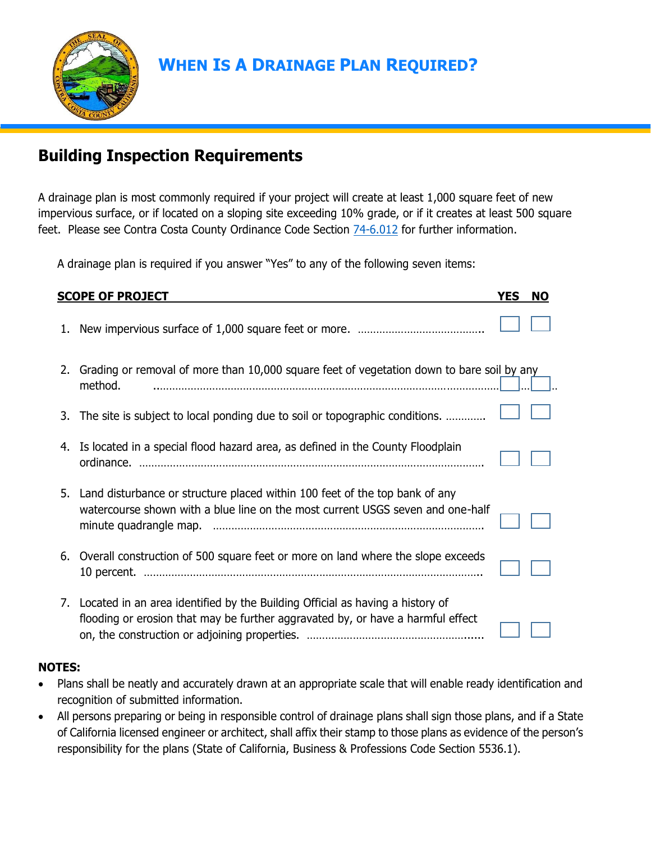

# **WHEN IS A DRAINAGE PLAN REQUIRED?**

## **Building Inspection Requirements**

A drainage plan is most commonly required if your project will create at least 1,000 square feet of new impervious surface, or if located on a sloping site exceeding 10% grade, or if it creates at least 500 square feet. Please see Contra Costa County Ordinance Code Section [74-6.012](https://library.municode.com/ca/contra_costa_county/codes/ordinance_code?nodeId=TIT7BURE_DIV74BUCO_CH74-6PEDRST_74-6.012DRPL) for further information.

A drainage plan is required if you answer "Yes" to any of the following seven items:

| <b>SCOPE OF PROJECT</b> |                                                                                                                                                                  |  | <b>NO</b> |
|-------------------------|------------------------------------------------------------------------------------------------------------------------------------------------------------------|--|-----------|
| 1.                      |                                                                                                                                                                  |  |           |
|                         | 2. Grading or removal of more than 10,000 square feet of vegetation down to bare soil by any<br>method.                                                          |  |           |
| 3.                      | The site is subject to local ponding due to soil or topographic conditions.                                                                                      |  |           |
|                         | 4. Is located in a special flood hazard area, as defined in the County Floodplain                                                                                |  |           |
|                         | 5. Land disturbance or structure placed within 100 feet of the top bank of any<br>watercourse shown with a blue line on the most current USGS seven and one-half |  |           |
|                         | 6. Overall construction of 500 square feet or more on land where the slope exceeds                                                                               |  |           |
| 7.                      | Located in an area identified by the Building Official as having a history of<br>flooding or erosion that may be further aggravated by, or have a harmful effect |  |           |

#### **NOTES:**

- Plans shall be neatly and accurately drawn at an appropriate scale that will enable ready identification and recognition of submitted information.
- All persons preparing or being in responsible control of drainage plans shall sign those plans, and if a State of California licensed engineer or architect, shall affix their stamp to those plans as evidence of the person's responsibility for the plans (State of California, Business & Professions Code Section 5536.1).